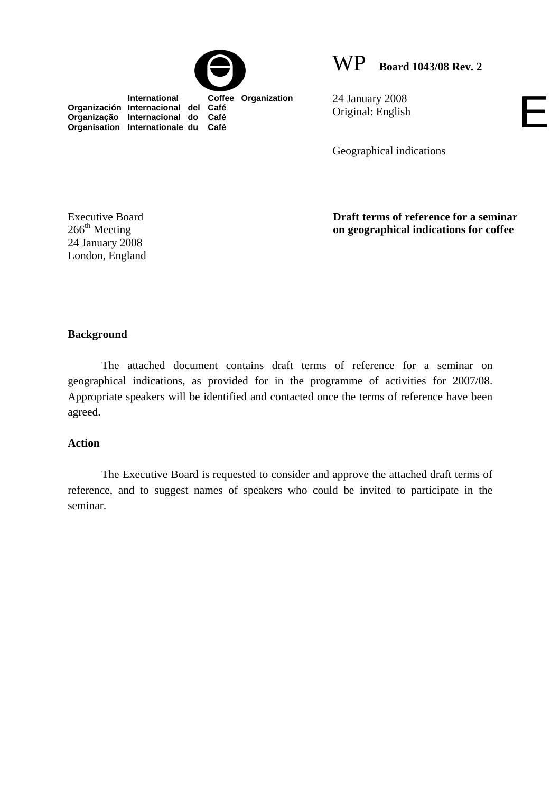

WP **Board 1043/08 Rev. 2**

E

 **International Coffee Organization Organización Internacional del Café Organização Internacional do Café Organisation Internationale du Café**

24 January 2008 Original: English

Geographical indications

**Draft terms of reference for a seminar on geographical indications for coffee** 

# **Background**

Executive Board  $266<sup>th</sup> Meeting$ 24 January 2008 London, England

 The attached document contains draft terms of reference for a seminar on geographical indications, as provided for in the programme of activities for 2007/08. Appropriate speakers will be identified and contacted once the terms of reference have been agreed.

#### **Action**

The Executive Board is requested to consider and approve the attached draft terms of reference, and to suggest names of speakers who could be invited to participate in the seminar.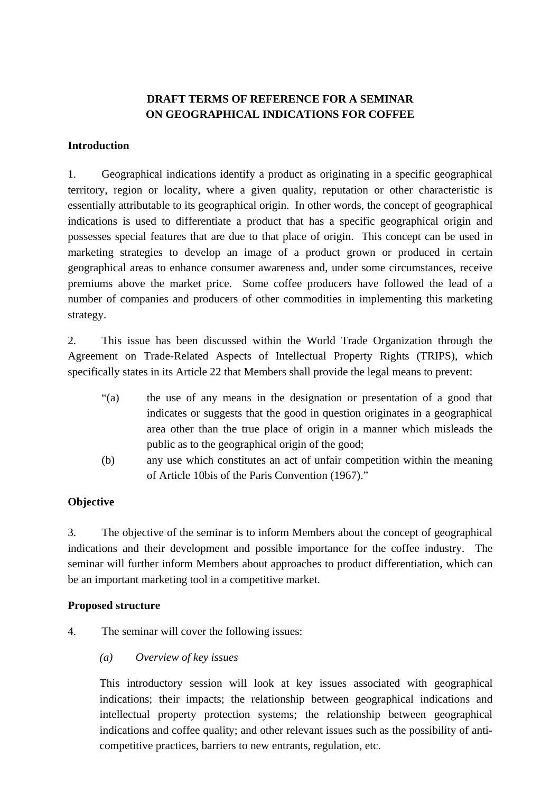## **DRAFT TERMS OF REFERENCE FOR A SEMINAR ON GEOGRAPHICAL INDICATIONS FOR COFFEE**

#### **Introduction**

1. Geographical indications identify a product as originating in a specific geographical territory, region or locality, where a given quality, reputation or other characteristic is essentially attributable to its geographical origin. In other words, the concept of geographical indications is used to differentiate a product that has a specific geographical origin and possesses special features that are due to that place of origin. This concept can be used in marketing strategies to develop an image of a product grown or produced in certain geographical areas to enhance consumer awareness and, under some circumstances, receive premiums above the market price. Some coffee producers have followed the lead of a number of companies and producers of other commodities in implementing this marketing strategy.

2. This issue has been discussed within the World Trade Organization through the Agreement on Trade-Related Aspects of Intellectual Property Rights (TRIPS), which specifically states in its Article 22 that Members shall provide the legal means to prevent:

- "(a) the use of any means in the designation or presentation of a good that indicates or suggests that the good in question originates in a geographical area other than the true place of origin in a manner which misleads the public as to the geographical origin of the good;
- (b) any use which constitutes an act of unfair competition within the meaning of Article 10bis of the Paris Convention (1967)."

#### **Objective**

3. The objective of the seminar is to inform Members about the concept of geographical indications and their development and possible importance for the coffee industry. The seminar will further inform Members about approaches to product differentiation, which can be an important marketing tool in a competitive market.

#### **Proposed structure**

- 4. The seminar will cover the following issues:
	- *(a) Overview of key issues*

This introductory session will look at key issues associated with geographical indications; their impacts; the relationship between geographical indications and intellectual property protection systems; the relationship between geographical indications and coffee quality; and other relevant issues such as the possibility of anticompetitive practices, barriers to new entrants, regulation, etc.